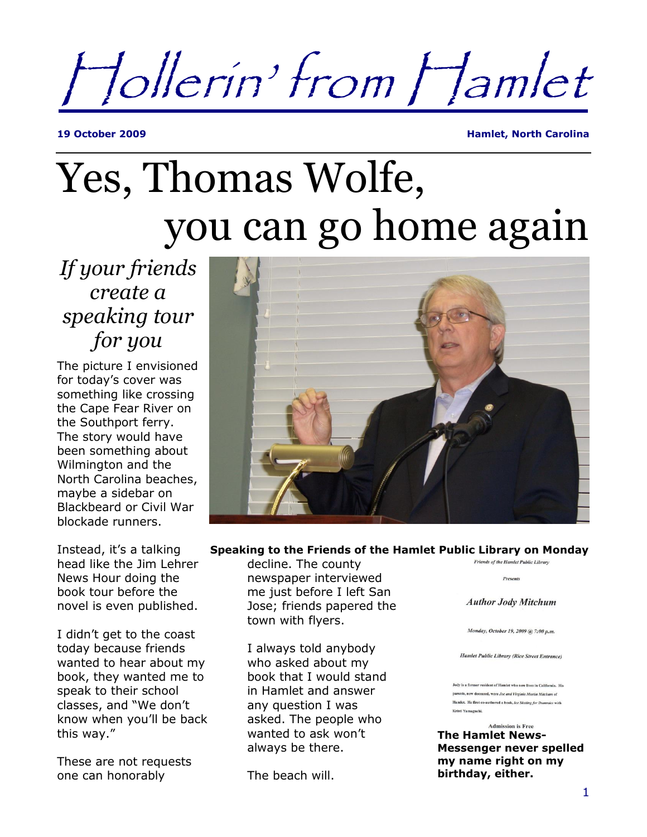Hollerin' from Hamlet

**19 October 2009 Hamlet, North Carolina**

## Yes, Thomas Wolfe, you can go home again

*If your friends create a speaking tour for you*

The picture I envisioned for today's cover was something like crossing the Cape Fear River on the Southport ferry. The story would have been something about Wilmington and the North Carolina beaches, maybe a sidebar on Blackbeard or Civil War blockade runners.

head like the Jim Lehrer News Hour doing the book tour before the novel is even published.

I didn't get to the coast today because friends wanted to hear about my book, they wanted me to speak to their school classes, and "We don't know when you'll be back this way."

These are not requests one can honorably



## Instead, it's a talking **Speaking to the Friends of the Hamlet Public Library on Monday**

decline. The county newspaper interviewed me just before I left San Jose; friends papered the town with flyers.

I always told anybody who asked about my book that I would stand in Hamlet and answer any question I was asked. The people who wanted to ask won't always be there.

The beach will.

**Friends of the Hamlet Public Library** 

Presents

**Author Jody Mitchum** 

Monday, October 19, 2009 @ 7:00 p.m.

**Hamlet Public Library (Rice Street Entrance)** 

Jody is a former resident of Hamlet who now lives in California. His parents, now deceased, were Joe and Virginia Martin Mitchum of Hamlet. He first co-authored a book, Ice Skating for Dummies with Kristi Yamaguchi.

**Admission is Free The Hamlet News-Messenger never spelled my name right on my birthday, either.**